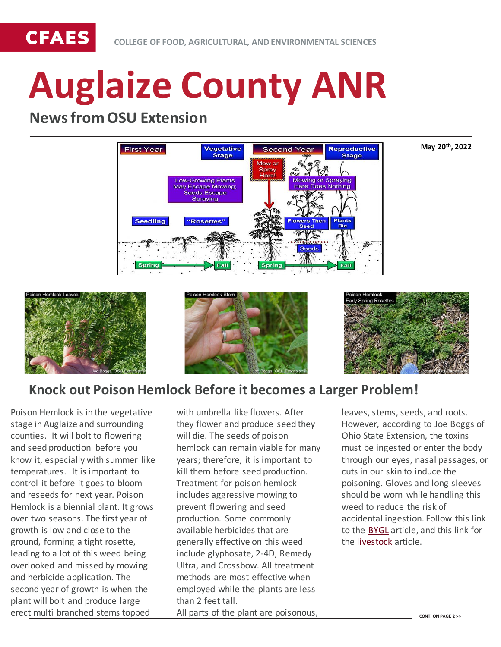

# **Auglaize County ANR**

## **News from OSU Extension**



**May 20th, 2022**







## **Knock out Poison Hemlock Before it becomes a Larger Problem!**

Poison Hemlock is in the vegetative stage in Auglaize and surrounding counties. It will bolt to flowering and seed production before you know it, especially with summer like temperatures. It is important to control it before it goes to bloom and reseeds for next year. Poison Hemlock is a biennial plant. It grows over two seasons. The first year of growth is low and close to the ground, forming a tight rosette, leading to a lot of this weed being overlooked and missed by mowing and herbicide application. The second year of growth is when the plant will bolt and produce large erect multi branched stems topped

with umbrella like flowers. After they flower and produce seed they will die. The seeds of poison hemlock can remain viable for many years; therefore, it is important to kill them before seed production. Treatment for poison hemlock includes aggressive mowing to prevent flowering and seed production. Some commonly available herbicides that are generally effective on this weed include glyphosate, 2-4D, Remedy Ultra, and Crossbow. All treatment methods are most effective when employed while the plants are less than 2 feet tall. All parts of the plant are poisonous,

leaves, stems, seeds, and roots. However, according to Joe Boggs of Ohio State Extension, the toxins must be ingested or enter the body through our eyes, nasal passages, or cuts in our skin to induce the poisoning. Gloves and long sleeves should be worn while handling this weed to reduce the risk of accidental ingestion. Follow this link to the [BYGL](https://bygl.osu.edu/index.php/node/1935) article, and this link for the [livestock](https://u.osu.edu/beef/2022/05/18/kill-poison-hemlock-now/) article.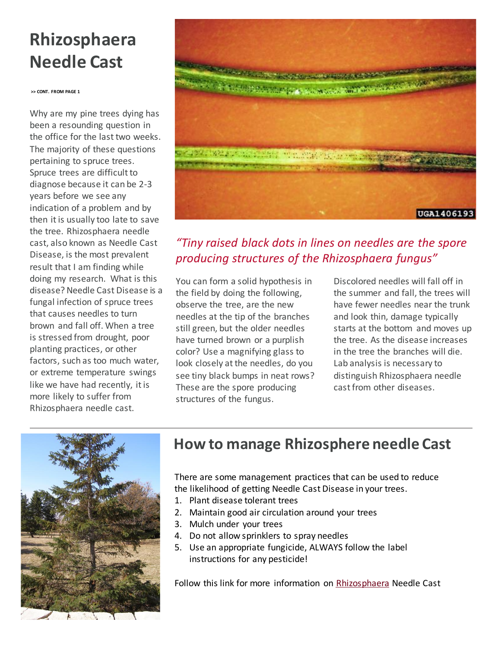## **Rhizosphaera Needle Cast**

**>> CONT. FROM PAGE 1**

Why are my pine trees dying has been a resounding question in the office for the last two weeks. The majority of these questions pertaining to spruce trees. Spruce trees are difficult to diagnose because it can be 2-3 years before we see any indication of a problem and by then it is usually too late to save the tree. Rhizosphaera needle cast, also known as Needle Cast Disease, is the most prevalent result that I am finding while doing my research. What is this disease? Needle Cast Disease is a fungal infection of spruce trees that causes needles to turn brown and fall off. When a tree is stressed from drought, poor planting practices, or other factors, such as too much water, or extreme temperature swings like we have had recently, it is more likely to suffer from Rhizosphaera needle cast.



## *"Tiny raised black dots in lines on needles are the spore producing structures of the Rhizosphaera fungus"*

You can form a solid hypothesis in the field by doing the following, observe the tree, are the new needles at the tip of the branches still green, but the older needles have turned brown or a purplish color? Use a magnifying glass to look closely at the needles, do you see tiny black bumps in neat rows? These are the spore producing structures of the fungus.

Discolored needles will fall off in the summer and fall, the trees will have fewer needles near the trunk and look thin, damage typically starts at the bottom and moves up the tree. As the disease increases in the tree the branches will die. Lab analysis is necessary to distinguish Rhizosphaera needle cast from other diseases.



## **How to manage Rhizosphere needle Cast**

There are some management practices that can be used to reduce the likelihood of getting Needle Cast Disease in your trees.

- 1. Plant disease tolerant trees
- 2. Maintain good air circulation around your trees
- 3. Mulch under your trees
- 4. Do not allow sprinklers to spray needles
- 5. Use an appropriate fungicide, ALWAYS follow the label instructions for any pesticide!

Follow this link for more information on [Rhizosphaera](https://extension.umn.edu/plant-diseases/rhizosphaera-needle-cast) Needle Cast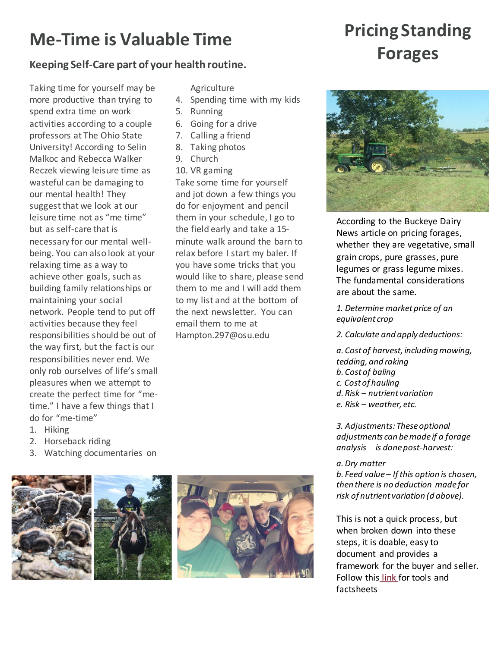## **Me-Time is Valuable Time**

#### **Keeping Self-Care part of your health routine.**

Taking time for yourself may be more productive than trying to spend extra time on work activities according to a couple professors at The Ohio State University! According to Selin Malkoc and Rebecca Walker Reczek viewing leisure time as wasteful can be damaging to our mental health! They suggest that we look at our leisure time not as "me time" but as self-care that is necessary for our mental wellbeing. You can also look at your relaxing time as a way to achieve other goals, such as building family relationships or maintaining your social network. People tend to put off activities because they feel responsibilities should be out of the way first, but the fact is our responsibilities never end. We only rob ourselves of life's small pleasures when we attempt to create the perfect time for "metime." I have a few things that I do for "me-time"

**Agriculture** 

- 4. Spending time with my kids
- 5. Running
- 6. Going for a drive
- 7. Calling a friend
- 8. Taking photos
- 9. Church
- 10. VR gaming

Take some time for yourself and jot down a few things you do for enjoyment and pencil them in your schedule, I go to the field early and take a 15 minute walk around the barn to relax before I start my baler. If you have some tricks that you would like to share, please send them to me and I will add them to my list and at the bottom of the next newsletter. You can email them to me at Hampton.297@osu.edu

## **Pricing Standing Forages**



According to the Buckeye Dairy News article on pricing forages, whether they are vegetative, small grain crops, pure grasses, pure legumes or grass legume mixes. The fundamental considerations are about the same.

*1. Determine market price of an equivalent crop*

*2. Calculate and apply deductions:*

*a. Cost of harvest, including mowing, tedding, and raking b. Cost of baling c. Cost of hauling d. Risk – nutrient variation e. Risk – weather, etc.*

*3. Adjustments: These optional adjustments can be made if a forage analysis is done post-harvest:*

#### *a. Dry matter*

*b. Feed value – If this option is chosen, then there is no deduction made for risk of nutrient variation (d above).*

This is not a quick process, but when broken down into these steps, it is doable, easy to document and provides a framework for the buyer and seller. Follow this [link](https://dairy.osu.edu/newsletter/buckeye-dairy-news/volume-24-issue-2/pricing-standing-forage-crops-%E2%80%93-your-one-stop-shop) for tools and factsheets



- 2. Horseback riding
- 3. Watching documentaries on